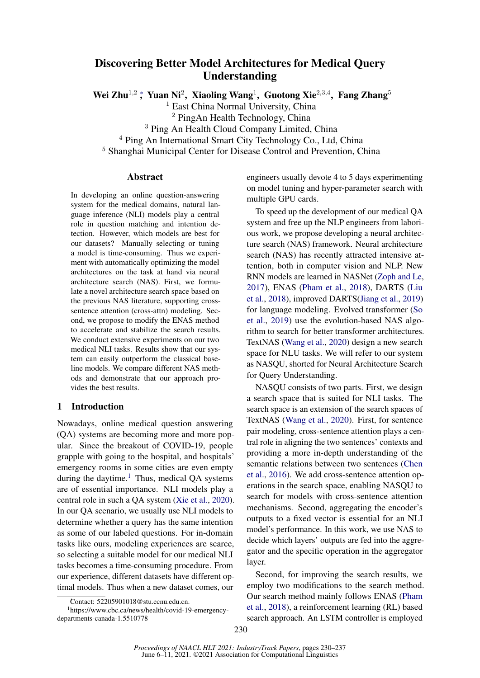# Discovering Better Model Architectures for Medical Query Understanding

Wei Zhu<sup>1,2</sup>; Yuan Ni<sup>2</sup>, Xiaoling Wang<sup>1</sup>, Guotong Xie<sup>2,3,4</sup>, Fang Zhang<sup>5</sup>

<sup>1</sup> East China Normal University, China

<sup>2</sup> PingAn Health Technology, China

<sup>3</sup> Ping An Health Cloud Company Limited, China

<sup>4</sup> Ping An International Smart City Technology Co., Ltd, China

<sup>5</sup> Shanghai Municipal Center for Disease Control and Prevention, China

# Abstract

In developing an online question-answering system for the medical domains, natural language inference (NLI) models play a central role in question matching and intention detection. However, which models are best for our datasets? Manually selecting or tuning a model is time-consuming. Thus we experiment with automatically optimizing the model architectures on the task at hand via neural architecture search (NAS). First, we formulate a novel architecture search space based on the previous NAS literature, supporting crosssentence attention (cross-attn) modeling. Second, we propose to modify the ENAS method to accelerate and stabilize the search results. We conduct extensive experiments on our two medical NLI tasks. Results show that our system can easily outperform the classical baseline models. We compare different NAS methods and demonstrate that our approach provides the best results.

## 1 Introduction

Nowadays, online medical question answering (QA) systems are becoming more and more popular. Since the breakout of COVID-19, people grapple with going to the hospital, and hospitals' emergency rooms in some cities are even empty during the daytime.<sup>[1](#page-0-0)</sup> Thus, medical QA systems are of essential importance. NLI models play a central role in such a QA system [\(Xie et al.,](#page-7-0) [2020\)](#page-7-0). In our QA scenario, we usually use NLI models to determine whether a query has the same intention as some of our labeled questions. For in-domain tasks like ours, modeling experiences are scarce, so selecting a suitable model for our medical NLI tasks becomes a time-consuming procedure. From our experience, different datasets have different optimal models. Thus when a new dataset comes, our

engineers usually devote 4 to 5 days experimenting on model tuning and hyper-parameter search with multiple GPU cards.

To speed up the development of our medical QA system and free up the NLP engineers from laborious work, we propose developing a neural architecture search (NAS) framework. Neural architecture search (NAS) has recently attracted intensive attention, both in computer vision and NLP. New RNN models are learned in NASNet [\(Zoph and Le,](#page-7-1) [2017\)](#page-7-1), ENAS [\(Pham et al.,](#page-7-2) [2018\)](#page-7-2), DARTS [\(Liu](#page-6-0) [et al.,](#page-6-0) [2018\)](#page-6-0), improved DARTS[\(Jiang et al.,](#page-6-1) [2019\)](#page-6-1) for language modeling. Evolved transformer [\(So](#page-7-3) [et al.,](#page-7-3) [2019\)](#page-7-3) use the evolution-based NAS algorithm to search for better transformer architectures. TextNAS [\(Wang et al.,](#page-7-4) [2020\)](#page-7-4) design a new search space for NLU tasks. We will refer to our system as NASQU, shorted for Neural Architecture Search for Query Understanding.

NASQU consists of two parts. First, we design a search space that is suited for NLI tasks. The search space is an extension of the search spaces of TextNAS [\(Wang et al.,](#page-7-4) [2020\)](#page-7-4). First, for sentence pair modeling, cross-sentence attention plays a central role in aligning the two sentences' contexts and providing a more in-depth understanding of the semantic relations between two sentences [\(Chen](#page-6-2) [et al.,](#page-6-2) [2016\)](#page-6-2). We add cross-sentence attention operations in the search space, enabling NASQU to search for models with cross-sentence attention mechanisms. Second, aggregating the encoder's outputs to a fixed vector is essential for an NLI model's performance. In this work, we use NAS to decide which layers' outputs are fed into the aggregator and the specific operation in the aggregator layer.

Second, for improving the search results, we employ two modifications to the search method. Our search method mainly follows ENAS [\(Pham](#page-7-5) [et al.,](#page-7-5) [2018\)](#page-7-5), a reinforcement learning (RL) based search approach. An LSTM controller is employed

<span id="page-0-0"></span><sup>∗</sup>Contact: 52205901018@stu.ecnu.edu.cn.

<sup>1</sup> https://www.cbc.ca/news/health/covid-19-emergencydepartments-canada-1.5510778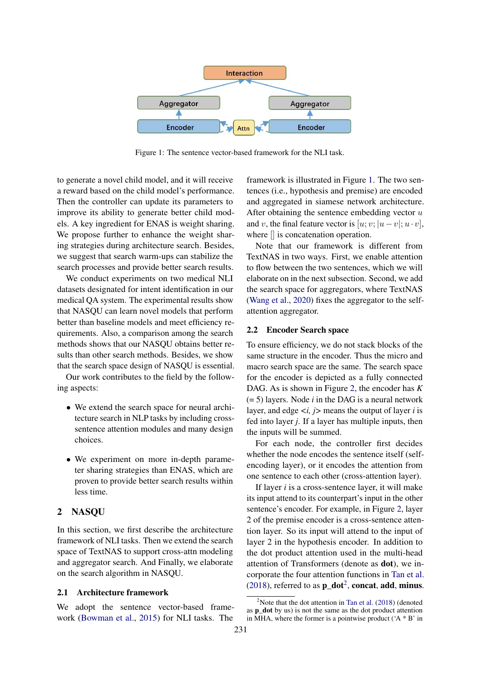<span id="page-1-0"></span>

Figure 1: The sentence vector-based framework for the NLI task.

to generate a novel child model, and it will receive a reward based on the child model's performance. Then the controller can update its parameters to improve its ability to generate better child models. A key ingredient for ENAS is weight sharing. We propose further to enhance the weight sharing strategies during architecture search. Besides, we suggest that search warm-ups can stabilize the search processes and provide better search results.

We conduct experiments on two medical NLI datasets designated for intent identification in our medical QA system. The experimental results show that NASQU can learn novel models that perform better than baseline models and meet efficiency requirements. Also, a comparison among the search methods shows that our NASQU obtains better results than other search methods. Besides, we show that the search space design of NASQU is essential.

Our work contributes to the field by the following aspects:

- We extend the search space for neural architecture search in NLP tasks by including crosssentence attention modules and many design choices.
- We experiment on more in-depth parameter sharing strategies than ENAS, which are proven to provide better search results within less time.

# 2 NASQU

In this section, we first describe the architecture framework of NLI tasks. Then we extend the search space of TextNAS to support cross-attn modeling and aggregator search. And Finally, we elaborate on the search algorithm in NASQU.

# 2.1 Architecture framework

We adopt the sentence vector-based framework [\(Bowman et al.,](#page-6-3) [2015\)](#page-6-3) for NLI tasks. The

framework is illustrated in Figure [1.](#page-1-0) The two sentences (i.e., hypothesis and premise) are encoded and aggregated in siamese network architecture. After obtaining the sentence embedding vector  $u$ and v, the final feature vector is  $[u; v; |u-v|; u \cdot v]$ , where  $\parallel$  is concatenation operation.

Note that our framework is different from TextNAS in two ways. First, we enable attention to flow between the two sentences, which we will elaborate on in the next subsection. Second, we add the search space for aggregators, where TextNAS [\(Wang et al.,](#page-7-4) [2020\)](#page-7-4) fixes the aggregator to the selfattention aggregator.

# 2.2 Encoder Search space

To ensure efficiency, we do not stack blocks of the same structure in the encoder. Thus the micro and macro search space are the same. The search space for the encoder is depicted as a fully connected DAG. As is shown in Figure [2,](#page-2-0) the encoder has *K* (= 5) layers. Node *i* in the DAG is a neural network layer, and edge *<i, j>* means the output of layer *i* is fed into layer *j*. If a layer has multiple inputs, then the inputs will be summed.

For each node, the controller first decides whether the node encodes the sentence itself (selfencoding layer), or it encodes the attention from one sentence to each other (cross-attention layer).

If layer *i* is a cross-sentence layer, it will make its input attend to its counterpart's input in the other sentence's encoder. For example, in Figure [2,](#page-2-0) layer 2 of the premise encoder is a cross-sentence attention layer. So its input will attend to the input of layer 2 in the hypothesis encoder. In addition to the dot product attention used in the multi-head attention of Transformers (denote as dot), we incorporate the four attention functions in [Tan et al.](#page-7-6) [\(2018\)](#page-7-6), referred to as  $\mathbf{p}\_dot{a}$ , concat, add, minus.

<span id="page-1-1"></span><sup>&</sup>lt;sup>2</sup>Note that the dot attention in [Tan et al.](#page-7-6)  $(2018)$  (denoted as  $p$  dot by us) is not the same as the dot product attention in MHA, where the former is a pointwise product ('A \* B' in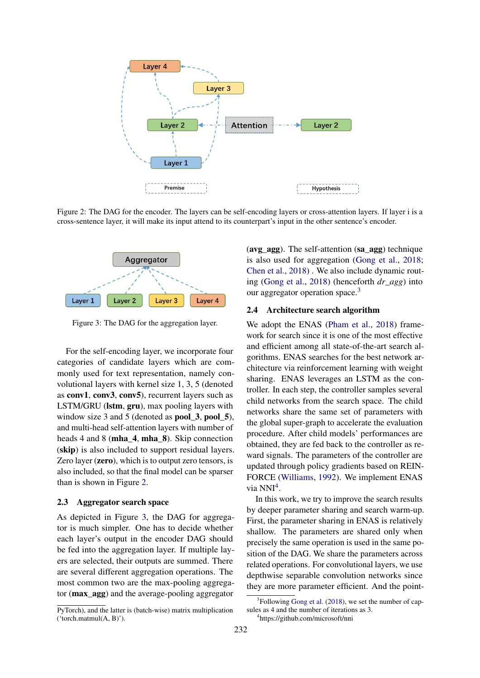<span id="page-2-0"></span>

Figure 2: The DAG for the encoder. The layers can be self-encoding layers or cross-attention layers. If layer i is a cross-sentence layer, it will make its input attend to its counterpart's input in the other sentence's encoder.

<span id="page-2-1"></span>

Figure 3: The DAG for the aggregation layer.

For the self-encoding layer, we incorporate four categories of candidate layers which are commonly used for text representation, namely convolutional layers with kernel size 1, 3, 5 (denoted as conv1, conv3, conv5), recurrent layers such as LSTM/GRU (lstm, gru), max pooling layers with window size 3 and 5 (denoted as **pool\_3**, **pool\_5**), and multi-head self-attention layers with number of heads 4 and 8 (mha\_4, mha\_8). Skip connection (skip) is also included to support residual layers. Zero layer (zero), which is to output zero tensors, is also included, so that the final model can be sparser than is shown in Figure [2.](#page-2-0)

#### 2.3 Aggregator search space

As depicted in Figure [3,](#page-2-1) the DAG for aggregator is much simpler. One has to decide whether each layer's output in the encoder DAG should be fed into the aggregation layer. If multiple layers are selected, their outputs are summed. There are several different aggregation operations. The most common two are the max-pooling aggregator (max\_agg) and the average-pooling aggregator

PyTorch), and the latter is (batch-wise) matrix multiplication ('torch.matmul(A, B)').

(avg\_agg). The self-attention (sa\_agg) technique is also used for aggregation [\(Gong et al.,](#page-6-4) [2018;](#page-6-4) [Chen et al.,](#page-6-5) [2018\)](#page-6-5) . We also include dynamic routing [\(Gong et al.,](#page-6-4) [2018\)](#page-6-4) (henceforth *dr\_agg*) into our aggregator operation space.<sup>[3](#page-2-2)</sup>

#### 2.4 Architecture search algorithm

We adopt the ENAS [\(Pham et al.,](#page-7-5) [2018\)](#page-7-5) framework for search since it is one of the most effective and efficient among all state-of-the-art search algorithms. ENAS searches for the best network architecture via reinforcement learning with weight sharing. ENAS leverages an LSTM as the controller. In each step, the controller samples several child networks from the search space. The child networks share the same set of parameters with the global super-graph to accelerate the evaluation procedure. After child models' performances are obtained, they are fed back to the controller as reward signals. The parameters of the controller are updated through policy gradients based on REIN-FORCE [\(Williams,](#page-7-7) [1992\)](#page-7-7). We implement ENAS via NNI<sup>[4](#page-2-3)</sup>.

In this work, we try to improve the search results by deeper parameter sharing and search warm-up. First, the parameter sharing in ENAS is relatively shallow. The parameters are shared only when precisely the same operation is used in the same position of the DAG. We share the parameters across related operations. For convolutional layers, we use depthwise separable convolution networks since they are more parameter efficient. And the point-

<span id="page-2-2"></span><sup>&</sup>lt;sup>3</sup>Following [Gong et al.](#page-6-4) [\(2018\)](#page-6-4), we set the number of capsules as 4 and the number of iterations as 3.

<span id="page-2-3"></span><sup>4</sup> https://github.com/microsoft/nni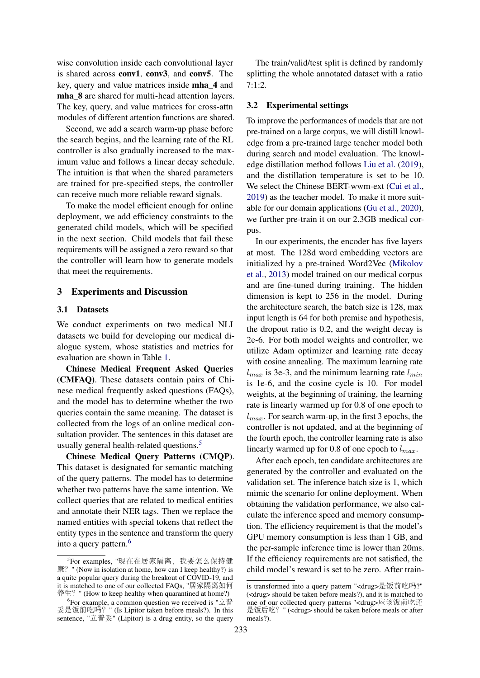wise convolution inside each convolutional layer is shared across conv1, conv3, and conv5. The key, query and value matrices inside mha\_4 and mha  $8$  are shared for multi-head attention layers. The key, query, and value matrices for cross-attn modules of different attention functions are shared.

Second, we add a search warm-up phase before the search begins, and the learning rate of the RL controller is also gradually increased to the maximum value and follows a linear decay schedule. The intuition is that when the shared parameters are trained for pre-specified steps, the controller can receive much more reliable reward signals.

To make the model efficient enough for online deployment, we add efficiency constraints to the generated child models, which will be specified in the next section. Child models that fail these requirements will be assigned a zero reward so that the controller will learn how to generate models that meet the requirements.

## 3 Experiments and Discussion

#### 3.1 Datasets

We conduct experiments on two medical NLI datasets we build for developing our medical dialogue system, whose statistics and metrics for evaluation are shown in Table [1.](#page-4-0)

Chinese Medical Frequent Asked Queries (CMFAQ). These datasets contain pairs of Chinese medical frequently asked questions (FAQs), and the model has to determine whether the two queries contain the same meaning. The dataset is collected from the logs of an online medical consultation provider. The sentences in this dataset are usually general health-related questions.<sup>[5](#page-3-0)</sup>

Chinese Medical Query Patterns (CMQP). This dataset is designated for semantic matching of the query patterns. The model has to determine whether two patterns have the same intention. We collect queries that are related to medical entities and annotate their NER tags. Then we replace the named entities with special tokens that reflect the entity types in the sentence and transform the query into a query pattern.<sup>[6](#page-3-1)</sup>

The train/valid/test split is defined by randomly splitting the whole annotated dataset with a ratio 7:1:2.

#### 3.2 Experimental settings

To improve the performances of models that are not pre-trained on a large corpus, we will distill knowledge from a pre-trained large teacher model both during search and model evaluation. The knowledge distillation method follows [Liu et al.](#page-6-6) [\(2019\)](#page-6-6), and the distillation temperature is set to be 10. We select the Chinese BERT-wwm-ext [\(Cui et al.,](#page-6-7) [2019\)](#page-6-7) as the teacher model. To make it more suitable for our domain applications [\(Gu et al.,](#page-6-8) [2020\)](#page-6-8), we further pre-train it on our 2.3GB medical corpus.

In our experiments, the encoder has five layers at most. The 128d word embedding vectors are initialized by a pre-trained Word2Vec [\(Mikolov](#page-6-9) [et al.,](#page-6-9) [2013\)](#page-6-9) model trained on our medical corpus and are fine-tuned during training. The hidden dimension is kept to 256 in the model. During the architecture search, the batch size is 128, max input length is 64 for both premise and hypothesis, the dropout ratio is 0.2, and the weight decay is 2e-6. For both model weights and controller, we utilize Adam optimizer and learning rate decay with cosine annealing. The maximum learning rate  $l_{max}$  is 3e-3, and the minimum learning rate  $l_{min}$ is 1e-6, and the cosine cycle is 10. For model weights, at the beginning of training, the learning rate is linearly warmed up for 0.8 of one epoch to  $l_{max}$ . For search warm-up, in the first 3 epochs, the controller is not updated, and at the beginning of the fourth epoch, the controller learning rate is also linearly warmed up for 0.8 of one epoch to  $l_{max}$ .

After each epoch, ten candidate architectures are generated by the controller and evaluated on the validation set. The inference batch size is 1, which mimic the scenario for online deployment. When obtaining the validation performance, we also calculate the inference speed and memory consumption. The efficiency requirement is that the model's GPU memory consumption is less than 1 GB, and the per-sample inference time is lower than 20ms. If the efficiency requirements are not satisfied, the child model's reward is set to be zero. After train-

<span id="page-3-0"></span><sup>&</sup>lt;sup>5</sup>For examples, "现在在居家隔离,我要怎么保持健<br>' " (Now in isolation at home, how can I keen healthy?) is 康? " (Now in isolation at home, how can I keep healthy?) is a quite popular query during the breakout of COVID-19, and it is matched to one of our collected FAQs, "居家隔离如<sup>何</sup> 养生? " (How to keep healthy when quarantined at home?)

<span id="page-3-1"></span><sup>&</sup>lt;sup>6</sup> For example, a common question we received is "立普<br><sup>是</sup>饭前吃吗? " (Is Linitor taken before meals?) In this 妥是饭前吃吗? " (Is Lipitor taken before meals?). In this<br>sentence "立普妥" (Lipitor) is a drug entity so the query sentence, " $\vec{\mathfrak{L}}$  if  $\vec{\mathfrak{L}}$ " (Lipitor) is a drug entity, so the query

is transformed into a query pattern "<drug>是饭前吃吗?" (<drug> should be taken before meals?), and it is matched to one of our collected query patterns "<drug>应该饭前吃还 是饭后吃? " (<drug> should be taken before meals or after meals?).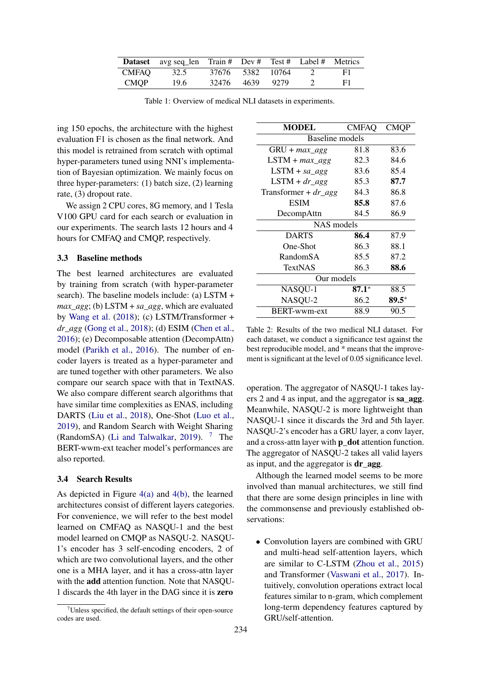<span id="page-4-0"></span>

|             | <b>Dataset</b> avg seq_len Train # Dev # Test # Label # Metrics |                  |  |                |    |
|-------------|-----------------------------------------------------------------|------------------|--|----------------|----|
| CMFAO       | 32.5                                                            | 37676 5382 10764 |  | 2              | F1 |
| <b>CMOP</b> | 19.6                                                            | 32476 4639 9279  |  | $\overline{2}$ | F1 |

Table 1: Overview of medical NLI datasets in experiments.

ing 150 epochs, the architecture with the highest evaluation F1 is chosen as the final network. And this model is retrained from scratch with optimal hyper-parameters tuned using NNI's implementation of Bayesian optimization. We mainly focus on three hyper-parameters: (1) batch size, (2) learning rate, (3) dropout rate.

We assign 2 CPU cores, 8G memory, and 1 Tesla V100 GPU card for each search or evaluation in our experiments. The search lasts 12 hours and 4 hours for CMFAQ and CMQP, respectively.

## 3.3 Baseline methods

The best learned architectures are evaluated by training from scratch (with hyper-parameter search). The baseline models include: (a) LSTM + *max\_agg*; (b) LSTM + *sa\_agg*, which are evaluated by [Wang et al.](#page-7-8) [\(2018\)](#page-7-8); (c) LSTM/Transformer + *dr\_agg* [\(Gong et al.,](#page-6-4) [2018\)](#page-6-4); (d) ESIM [\(Chen et al.,](#page-6-2) [2016\)](#page-6-2); (e) Decomposable attention (DecompAttn) model [\(Parikh et al.,](#page-7-9) [2016\)](#page-7-9). The number of encoder layers is treated as a hyper-parameter and are tuned together with other parameters. We also compare our search space with that in TextNAS. We also compare different search algorithms that have similar time complexities as ENAS, including DARTS [\(Liu et al.,](#page-6-0) [2018\)](#page-6-0), One-Shot [\(Luo et al.,](#page-6-10) [2019\)](#page-6-10), and Random Search with Weight Sharing (RandomSA) [\(Li and Talwalkar,](#page-6-11) [2019\)](#page-6-11).  $7$  The BERT-wwm-ext teacher model's performances are also reported.

## 3.4 Search Results

As depicted in Figure [4\(a\)](#page-5-0) and [4\(b\),](#page-5-1) the learned architectures consist of different layers categories. For convenience, we will refer to the best model learned on CMFAQ as NASQU-1 and the best model learned on CMQP as NASQU-2. NASQU-1's encoder has 3 self-encoding encoders, 2 of which are two convolutional layers, and the other one is a MHA layer, and it has a cross-attn layer with the add attention function. Note that NASQU-1 discards the 4th layer in the DAG since it is zero

<span id="page-4-2"></span>

| <b>MODEL</b>              | <b>CMFAQ</b> | <b>CMOP</b> |  |  |  |
|---------------------------|--------------|-------------|--|--|--|
| Baseline models           |              |             |  |  |  |
| $GRU + max\_agg$          | 81.8         | 83.6        |  |  |  |
| $LSTM + max\_agg$         | 82.3         | 84.6        |  |  |  |
| $LSTM + sa\_agg$          | 83.6         | 85.4        |  |  |  |
| $LSTM + dr\_{agg}$        | 85.3         | 87.7        |  |  |  |
| Transformer + $dr\_{agg}$ | 84.3         | 86.8        |  |  |  |
| <b>ESIM</b>               | 85.8         | 87.6        |  |  |  |
| DecompAttn                | 84.5         | 86.9        |  |  |  |
| NAS models                |              |             |  |  |  |
| <b>DARTS</b>              | 86.4         | 87.9        |  |  |  |
| One-Shot                  | 86.3         | 88.1        |  |  |  |
| RandomSA                  | 85.5         | 87.2        |  |  |  |
| <b>TextNAS</b>            | 86.3         | 88.6        |  |  |  |
| Our models                |              |             |  |  |  |
| NASQU-1                   | $87.1*$      | 88.5        |  |  |  |
| NASQU-2                   | 86.2         | $89.5*$     |  |  |  |
| <b>BERT-wwm-ext</b>       | 88.9         | 90.5        |  |  |  |

Table 2: Results of the two medical NLI dataset. For each dataset, we conduct a significance test against the best reproducible model, and \* means that the improvement is significant at the level of 0.05 significance level.

operation. The aggregator of NASQU-1 takes layers 2 and 4 as input, and the aggregator is sa\_agg. Meanwhile, NASQU-2 is more lightweight than NASQU-1 since it discards the 3rd and 5th layer. NASQU-2's encoder has a GRU layer, a conv layer, and a cross-attn layer with **p\_dot** attention function. The aggregator of NASQU-2 takes all valid layers as input, and the aggregator is **dr** agg.

Although the learned model seems to be more involved than manual architectures, we still find that there are some design principles in line with the commonsense and previously established observations:

• Convolution layers are combined with GRU and multi-head self-attention layers, which are similar to C-LSTM [\(Zhou et al.,](#page-7-10) [2015\)](#page-7-10) and Transformer [\(Vaswani et al.,](#page-7-11) [2017\)](#page-7-11). Intuitively, convolution operations extract local features similar to n-gram, which complement long-term dependency features captured by GRU/self-attention.

<span id="page-4-1"></span> $7$ Unless specified, the default settings of their open-source codes are used.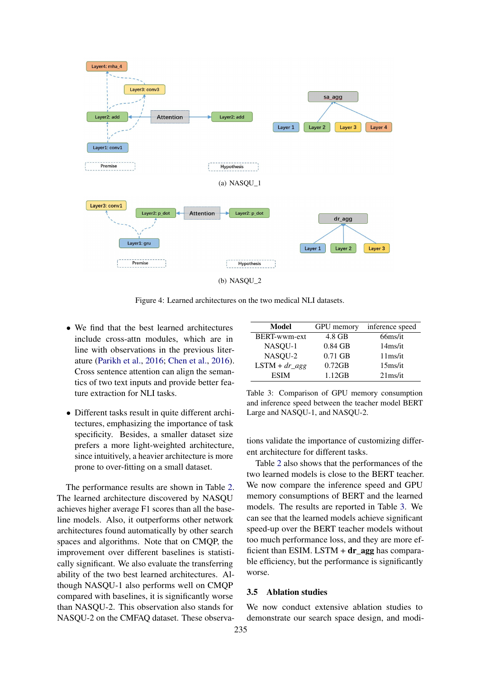<span id="page-5-0"></span>

<span id="page-5-1"></span>Figure 4: Learned architectures on the two medical NLI datasets.

- We find that the best learned architectures include cross-attn modules, which are in line with observations in the previous literature [\(Parikh et al.,](#page-7-9) [2016;](#page-7-9) [Chen et al.,](#page-6-2) [2016\)](#page-6-2). Cross sentence attention can align the semantics of two text inputs and provide better feature extraction for NLI tasks.
- Different tasks result in quite different architectures, emphasizing the importance of task specificity. Besides, a smaller dataset size prefers a more light-weighted architecture, since intuitively, a heavier architecture is more prone to over-fitting on a small dataset.

The performance results are shown in Table [2.](#page-4-2) The learned architecture discovered by NASQU achieves higher average F1 scores than all the baseline models. Also, it outperforms other network architectures found automatically by other search spaces and algorithms. Note that on CMQP, the improvement over different baselines is statistically significant. We also evaluate the transferring ability of the two best learned architectures. Although NASQU-1 also performs well on CMQP compared with baselines, it is significantly worse than NASQU-2. This observation also stands for NASQU-2 on the CMFAQ dataset. These observa-

<span id="page-5-2"></span>

| Model              | <b>GPU</b> memory | inference speed     |
|--------------------|-------------------|---------------------|
| BERT-wwm-ext       | 4.8 GB            | 66 <sub>ms/it</sub> |
| NASQU-1            | $0.84$ GB         | $14$ ms/it          |
| NASQU-2            | $0.71$ GB         | 11ms/it             |
| $LSTM + dr\_{agg}$ | $0.72$ GB         | 15 <sub>ms/it</sub> |
| <b>ESIM</b>        | 1.12GB            | $21$ ms/it          |

Table 3: Comparison of GPU memory consumption and inference speed between the teacher model BERT Large and NASQU-1, and NASQU-2.

tions validate the importance of customizing different architecture for different tasks.

Table [2](#page-4-2) also shows that the performances of the two learned models is close to the BERT teacher. We now compare the inference speed and GPU memory consumptions of BERT and the learned models. The results are reported in Table [3.](#page-5-2) We can see that the learned models achieve significant speed-up over the BERT teacher models without too much performance loss, and they are more efficient than ESIM. LSTM  $+ dr$  agg has comparable efficiency, but the performance is significantly worse.

#### 3.5 Ablation studies

We now conduct extensive ablation studies to demonstrate our search space design, and modi-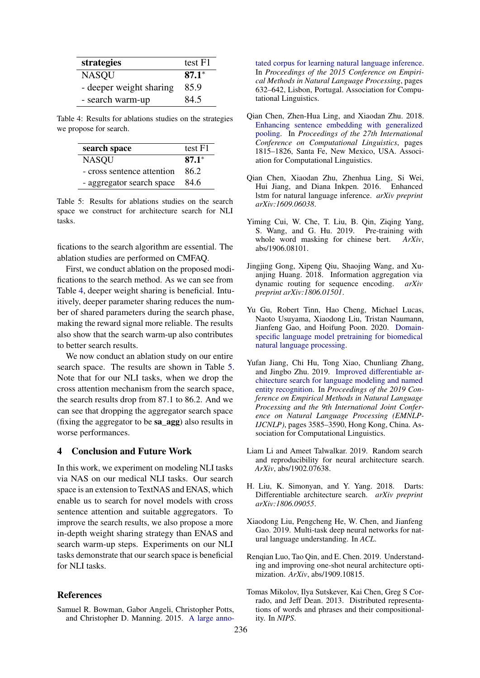<span id="page-6-12"></span>

| strategies              | test F1 |
|-------------------------|---------|
| <b>NASQU</b>            | $87.1*$ |
| - deeper weight sharing | 85.9    |
| - search warm-up        | 84.5    |

Table 4: Results for ablations studies on the strategies we propose for search.

<span id="page-6-13"></span>

| search space               | test F1 |
|----------------------------|---------|
| <b>NASQU</b>               | $87.1*$ |
| - cross sentence attention | 862     |
| - aggregator search space  | -84.6   |

Table 5: Results for ablations studies on the search space we construct for architecture search for NLI tasks.

fications to the search algorithm are essential. The ablation studies are performed on CMFAQ.

First, we conduct ablation on the proposed modifications to the search method. As we can see from Table [4,](#page-6-12) deeper weight sharing is beneficial. Intuitively, deeper parameter sharing reduces the number of shared parameters during the search phase, making the reward signal more reliable. The results also show that the search warm-up also contributes to better search results.

We now conduct an ablation study on our entire search space. The results are shown in Table [5.](#page-6-13) Note that for our NLI tasks, when we drop the cross attention mechanism from the search space, the search results drop from 87.1 to 86.2. And we can see that dropping the aggregator search space (fixing the aggregator to be sa\_agg) also results in worse performances.

#### 4 Conclusion and Future Work

In this work, we experiment on modeling NLI tasks via NAS on our medical NLI tasks. Our search space is an extension to TextNAS and ENAS, which enable us to search for novel models with cross sentence attention and suitable aggregators. To improve the search results, we also propose a more in-depth weight sharing strategy than ENAS and search warm-up steps. Experiments on our NLI tasks demonstrate that our search space is beneficial for NLI tasks.

## References

<span id="page-6-3"></span>Samuel R. Bowman, Gabor Angeli, Christopher Potts, and Christopher D. Manning. 2015. [A large anno-](https://doi.org/10.18653/v1/D15-1075) [tated corpus for learning natural language inference.](https://doi.org/10.18653/v1/D15-1075) In *Proceedings of the 2015 Conference on Empirical Methods in Natural Language Processing*, pages 632–642, Lisbon, Portugal. Association for Computational Linguistics.

- <span id="page-6-5"></span>Qian Chen, Zhen-Hua Ling, and Xiaodan Zhu. 2018. [Enhancing sentence embedding with generalized](https://www.aclweb.org/anthology/C18-1154) [pooling.](https://www.aclweb.org/anthology/C18-1154) In *Proceedings of the 27th International Conference on Computational Linguistics*, pages 1815–1826, Santa Fe, New Mexico, USA. Association for Computational Linguistics.
- <span id="page-6-2"></span>Qian Chen, Xiaodan Zhu, Zhenhua Ling, Si Wei, Hui Jiang, and Diana Inkpen. 2016. Enhanced lstm for natural language inference. *arXiv preprint arXiv:1609.06038*.
- <span id="page-6-7"></span>Yiming Cui, W. Che, T. Liu, B. Qin, Ziqing Yang, S. Wang, and G. Hu. 2019. Pre-training with whole word masking for chinese bert. *ArXiv*, abs/1906.08101.
- <span id="page-6-4"></span>Jingjing Gong, Xipeng Qiu, Shaojing Wang, and Xuanjing Huang. 2018. Information aggregation via dynamic routing for sequence encoding. *arXiv preprint arXiv:1806.01501*.
- <span id="page-6-8"></span>Yu Gu, Robert Tinn, Hao Cheng, Michael Lucas, Naoto Usuyama, Xiaodong Liu, Tristan Naumann, Jianfeng Gao, and Hoifung Poon. 2020. [Domain](http://arxiv.org/abs/arXiv:2007.15779)[specific language model pretraining for biomedical](http://arxiv.org/abs/arXiv:2007.15779) [natural language processing.](http://arxiv.org/abs/arXiv:2007.15779)
- <span id="page-6-1"></span>Yufan Jiang, Chi Hu, Tong Xiao, Chunliang Zhang, and Jingbo Zhu. 2019. [Improved differentiable ar](https://doi.org/10.18653/v1/D19-1367)[chitecture search for language modeling and named](https://doi.org/10.18653/v1/D19-1367) [entity recognition.](https://doi.org/10.18653/v1/D19-1367) In *Proceedings of the 2019 Conference on Empirical Methods in Natural Language Processing and the 9th International Joint Conference on Natural Language Processing (EMNLP-IJCNLP)*, pages 3585–3590, Hong Kong, China. Association for Computational Linguistics.
- <span id="page-6-11"></span>Liam Li and Ameet Talwalkar. 2019. Random search and reproducibility for neural architecture search. *ArXiv*, abs/1902.07638.
- <span id="page-6-0"></span>H. Liu, K. Simonyan, and Y. Yang. 2018. Darts: Differentiable architecture search. *arXiv preprint arXiv:1806.09055*.
- <span id="page-6-6"></span>Xiaodong Liu, Pengcheng He, W. Chen, and Jianfeng Gao. 2019. Multi-task deep neural networks for natural language understanding. In *ACL*.
- <span id="page-6-10"></span>Renqian Luo, Tao Qin, and E. Chen. 2019. Understanding and improving one-shot neural architecture optimization. *ArXiv*, abs/1909.10815.
- <span id="page-6-9"></span>Tomas Mikolov, Ilya Sutskever, Kai Chen, Greg S Corrado, and Jeff Dean. 2013. Distributed representations of words and phrases and their compositionality. In *NIPS*.